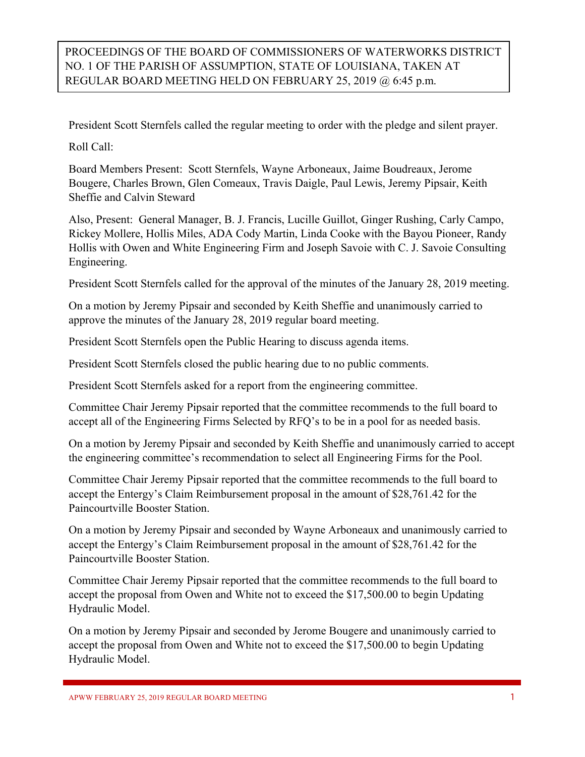PROCEEDINGS OF THE BOARD OF COMMISSIONERS OF WATERWORKS DISTRICT NO. 1 OF THE PARISH OF ASSUMPTION, STATE OF LOUISIANA, TAKEN AT REGULAR BOARD MEETING HELD ON FEBRUARY 25, 2019 @ 6:45 p.m.

President Scott Sternfels called the regular meeting to order with the pledge and silent prayer.

Roll Call:

Board Members Present: Scott Sternfels, Wayne Arboneaux, Jaime Boudreaux, Jerome Bougere, Charles Brown, Glen Comeaux, Travis Daigle, Paul Lewis, Jeremy Pipsair, Keith Sheffie and Calvin Steward

Also, Present: General Manager, B. J. Francis, Lucille Guillot, Ginger Rushing, Carly Campo, Rickey Mollere, Hollis Miles, ADA Cody Martin, Linda Cooke with the Bayou Pioneer, Randy Hollis with Owen and White Engineering Firm and Joseph Savoie with C. J. Savoie Consulting Engineering.

President Scott Sternfels called for the approval of the minutes of the January 28, 2019 meeting.

On a motion by Jeremy Pipsair and seconded by Keith Sheffie and unanimously carried to approve the minutes of the January 28, 2019 regular board meeting.

President Scott Sternfels open the Public Hearing to discuss agenda items.

President Scott Sternfels closed the public hearing due to no public comments.

President Scott Sternfels asked for a report from the engineering committee.

Committee Chair Jeremy Pipsair reported that the committee recommends to the full board to accept all of the Engineering Firms Selected by RFQ's to be in a pool for as needed basis.

On a motion by Jeremy Pipsair and seconded by Keith Sheffie and unanimously carried to accept the engineering committee's recommendation to select all Engineering Firms for the Pool.

Committee Chair Jeremy Pipsair reported that the committee recommends to the full board to accept the Entergy's Claim Reimbursement proposal in the amount of \$28,761.42 for the Paincourtville Booster Station.

On a motion by Jeremy Pipsair and seconded by Wayne Arboneaux and unanimously carried to accept the Entergy's Claim Reimbursement proposal in the amount of \$28,761.42 for the Paincourtville Booster Station.

Committee Chair Jeremy Pipsair reported that the committee recommends to the full board to accept the proposal from Owen and White not to exceed the \$17,500.00 to begin Updating Hydraulic Model.

On a motion by Jeremy Pipsair and seconded by Jerome Bougere and unanimously carried to accept the proposal from Owen and White not to exceed the \$17,500.00 to begin Updating Hydraulic Model.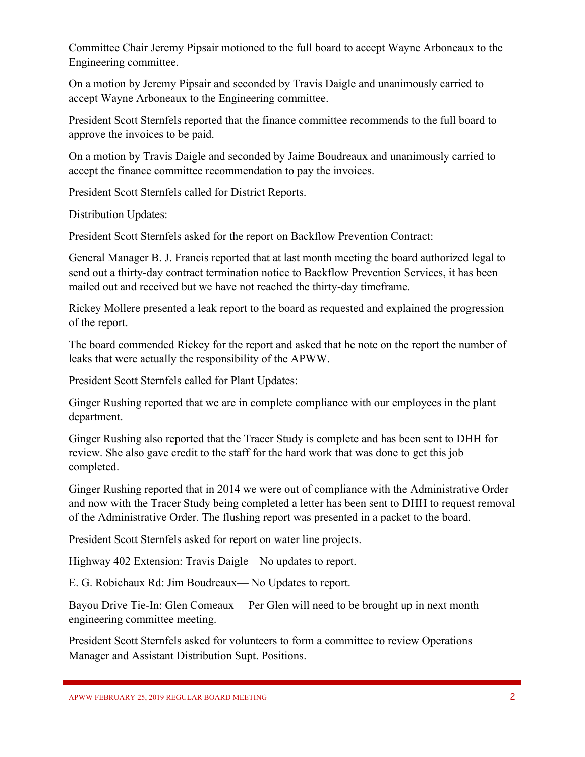Committee Chair Jeremy Pipsair motioned to the full board to accept Wayne Arboneaux to the Engineering committee.

On a motion by Jeremy Pipsair and seconded by Travis Daigle and unanimously carried to accept Wayne Arboneaux to the Engineering committee.

President Scott Sternfels reported that the finance committee recommends to the full board to approve the invoices to be paid.

On a motion by Travis Daigle and seconded by Jaime Boudreaux and unanimously carried to accept the finance committee recommendation to pay the invoices.

President Scott Sternfels called for District Reports.

Distribution Updates:

President Scott Sternfels asked for the report on Backflow Prevention Contract:

General Manager B. J. Francis reported that at last month meeting the board authorized legal to send out a thirty-day contract termination notice to Backflow Prevention Services, it has been mailed out and received but we have not reached the thirty-day timeframe.

Rickey Mollere presented a leak report to the board as requested and explained the progression of the report.

The board commended Rickey for the report and asked that he note on the report the number of leaks that were actually the responsibility of the APWW.

President Scott Sternfels called for Plant Updates:

Ginger Rushing reported that we are in complete compliance with our employees in the plant department.

Ginger Rushing also reported that the Tracer Study is complete and has been sent to DHH for review. She also gave credit to the staff for the hard work that was done to get this job completed.

Ginger Rushing reported that in 2014 we were out of compliance with the Administrative Order and now with the Tracer Study being completed a letter has been sent to DHH to request removal of the Administrative Order. The flushing report was presented in a packet to the board.

President Scott Sternfels asked for report on water line projects.

Highway 402 Extension: Travis Daigle—No updates to report.

E. G. Robichaux Rd: Jim Boudreaux— No Updates to report.

Bayou Drive Tie-In: Glen Comeaux— Per Glen will need to be brought up in next month engineering committee meeting.

President Scott Sternfels asked for volunteers to form a committee to review Operations Manager and Assistant Distribution Supt. Positions.